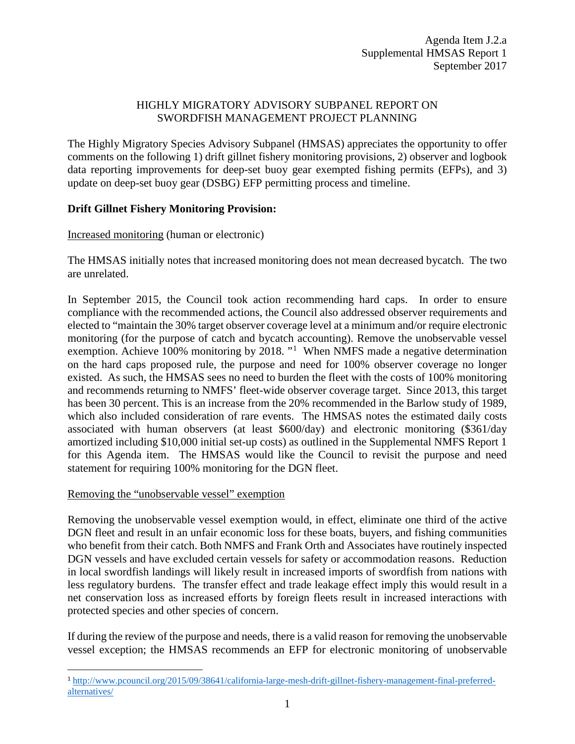## HIGHLY MIGRATORY ADVISORY SUBPANEL REPORT ON SWORDFISH MANAGEMENT PROJECT PLANNING

The Highly Migratory Species Advisory Subpanel (HMSAS) appreciates the opportunity to offer comments on the following 1) drift gillnet fishery monitoring provisions, 2) observer and logbook data reporting improvements for deep-set buoy gear exempted fishing permits (EFPs), and 3) update on deep-set buoy gear (DSBG) EFP permitting process and timeline.

# **Drift Gillnet Fishery Monitoring Provision:**

### Increased monitoring (human or electronic)

The HMSAS initially notes that increased monitoring does not mean decreased bycatch. The two are unrelated.

In September 2015, the Council took action recommending hard caps. In order to ensure compliance with the recommended actions, the Council also addressed observer requirements and elected to "maintain the 30% target observer coverage level at a minimum and/or require electronic monitoring (for the purpose of catch and bycatch accounting). Remove the unobservable vessel exemption. Achieve [1](#page-0-0)00% monitoring by 2018. "<sup>1</sup> When NMFS made a negative determination on the hard caps proposed rule, the purpose and need for 100% observer coverage no longer existed. As such, the HMSAS sees no need to burden the fleet with the costs of 100% monitoring and recommends returning to NMFS' fleet-wide observer coverage target. Since 2013, this target has been 30 percent. This is an increase from the 20% recommended in the Barlow study of 1989, which also included consideration of rare events. The HMSAS notes the estimated daily costs associated with human observers (at least \$600/day) and electronic monitoring (\$361/day amortized including \$10,000 initial set-up costs) as outlined in the Supplemental NMFS Report 1 for this Agenda item. The HMSAS would like the Council to revisit the purpose and need statement for requiring 100% monitoring for the DGN fleet.

### Removing the "unobservable vessel" exemption

Removing the unobservable vessel exemption would, in effect, eliminate one third of the active DGN fleet and result in an unfair economic loss for these boats, buyers, and fishing communities who benefit from their catch. Both NMFS and Frank Orth and Associates have routinely inspected DGN vessels and have excluded certain vessels for safety or accommodation reasons. Reduction in local swordfish landings will likely result in increased imports of swordfish from nations with less regulatory burdens. The transfer effect and trade leakage effect imply this would result in a net conservation loss as increased efforts by foreign fleets result in increased interactions with protected species and other species of concern.

If during the review of the purpose and needs, there is a valid reason for removing the unobservable vessel exception; the HMSAS recommends an EFP for electronic monitoring of unobservable

<span id="page-0-0"></span> <sup>1</sup> [http://www.pcouncil.org/2015/09/38641/california-large-mesh-drift-gillnet-fishery-management-final-preferred](http://www.pcouncil.org/2015/09/38641/california-large-mesh-drift-gillnet-fishery-management-final-preferred-alternatives/)[alternatives/](http://www.pcouncil.org/2015/09/38641/california-large-mesh-drift-gillnet-fishery-management-final-preferred-alternatives/)